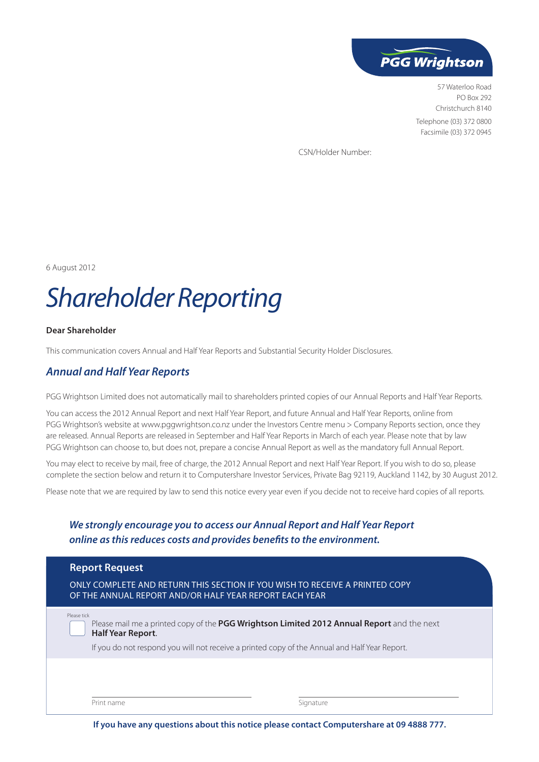

57 Waterloo Road PO Box 292 Christchurch 8140 Telephone (03) 372 0800 Facsimile (03) 372 0945

CSN/Holder Number:

6 August 2012

# *Shareholder Reporting*

#### **Dear Shareholder**

This communication covers Annual and Half Year Reports and Substantial Security Holder Disclosures.

## *Annual and Half Year Reports*

PGG Wrightson Limited does not automatically mail to shareholders printed copies of our Annual Reports and Half Year Reports.

You can access the 2012 Annual Report and next Half Year Report, and future Annual and Half Year Reports, online from PGG Wrightson's website at www.pggwrightson.co.nz under the Investors Centre menu > Company Reports section, once they are released. Annual Reports are released in September and Half Year Reports in March of each year. Please note that by law PGG Wrightson can choose to, but does not, prepare a concise Annual Report as well as the mandatory full Annual Report.

You may elect to receive by mail, free of charge, the 2012 Annual Report and next Half Year Report. If you wish to do so, please complete the section below and return it to Computershare Investor Services, Private Bag 92119, Auckland 1142, by 30 August 2012.

Please note that we are required by law to send this notice every year even if you decide not to receive hard copies of all reports.

## *We strongly encourage you to access our Annual Report and Half Year Report online as this reduces costs and provides benefits to the environment.*

| <b>Report Request</b><br>ONLY COMPLETE AND RETURN THIS SECTION IF YOU WISH TO RECEIVE A PRINTED COPY<br>OF THE ANNUAL REPORT AND/OR HALF YEAR REPORT EACH YEAR                                                                         |           |  |
|----------------------------------------------------------------------------------------------------------------------------------------------------------------------------------------------------------------------------------------|-----------|--|
| Please tick<br>Please mail me a printed copy of the PGG Wrightson Limited 2012 Annual Report and the next<br><b>Half Year Report.</b><br>If you do not respond you will not receive a printed copy of the Annual and Half Year Report. |           |  |
| Print name                                                                                                                                                                                                                             | Signature |  |

**If you have any questions about this notice please contact Computershare at 09 4888 777.**